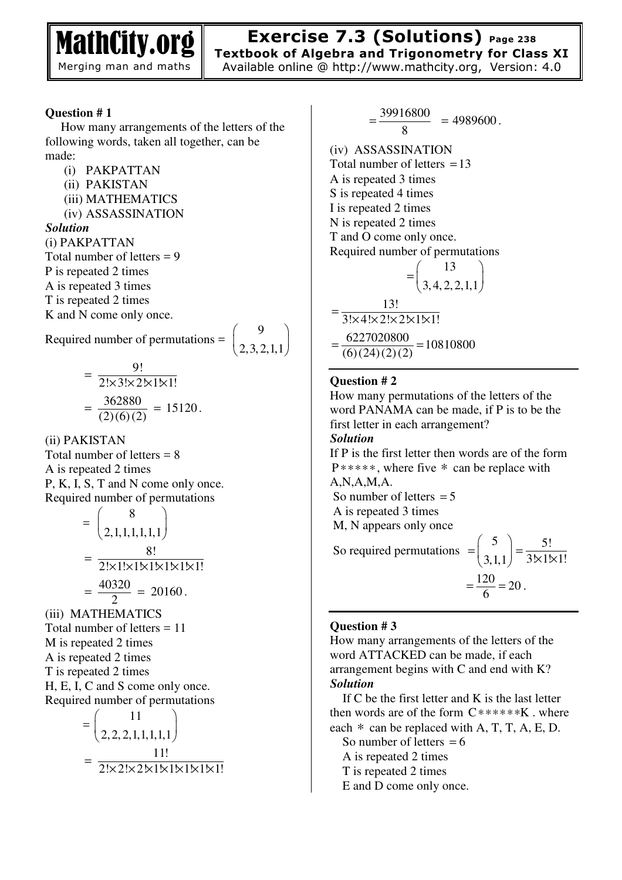

# **Exercise 7.3 (Solutions) Page 238**

**Textbook of Algebra and Trigonometry for Class XI**  Available online @ http://www.mathcity.org, Version: 4.0

#### **Question # 1**

 How many arrangements of the letters of the following words, taken all together, can be made:

- (i) PAKPATTAN
- (ii) PAKISTAN
- (iii) MATHEMATICS
- (iv) ASSASSINATION

#### *Solution*

(i) PAKPATTAN Total number of letters = 9 P is repeated 2 times A is repeated 3 times T is repeated 2 times K and N come only once.

Required number of permutations =  $\Omega$  $\begin{pmatrix} 9 \\ 2,3,2,1,1 \end{pmatrix}$ 

$$
= \begin{bmatrix} 2, 3, 2, 1, 1 \end{bmatrix}
$$

$$
= \frac{9!}{2! \times 3! \times 2 \times 1 \times 1!}
$$

$$
= \frac{362880}{(2)(6)(2)} = 15120.
$$

 $\Omega$ 

(ii) PAKISTAN

Total number of letters = 8 A is repeated 2 times P, K, I, S, T and N come only once. Required number of permutations

$$
= \begin{pmatrix} 8 \\ 2,1,1,1,1,1 \end{pmatrix}
$$

$$
= \frac{8!}{2! \times 1! \times 1 \times 1 \times 1 \times 1 \times 1!}
$$

$$
= \frac{40320}{2} = 20160.
$$

(iii) MATHEMATICS Total number of letters = 11 M is repeated 2 times A is repeated 2 times T is repeated 2 times H, E, I, C and S come only once. Required number of permutations

$$
= \left(\frac{11}{2,2,2,1,1,1,1,1}\right)
$$

$$
= \frac{11!}{2! \times 2! \times 2! \times 1! \times 1! \times 1! \times 1!}
$$

39916 8  $=\frac{39916800}{9}$  = 4989600. (iv) ASSASSINATION Total number of letters  $=13$ 

A is repeated 3 times S is repeated 4 times I is repeated 2 times N is repeated 2 times T and O come only once.

Required number of permutations

$$
= \left(\frac{13}{3,4,2,2,1,1}\right)
$$

$$
= \frac{13!}{3! \times 4! \times 2! \times 2! \times 1! \times 1!}
$$

$$
= \frac{6227020800}{(6)(24)(2)(2)} = 10810800
$$

#### **Question # 2**

How many permutations of the letters of the word PANAMA can be made, if P is to be the first letter in each arrangement? *Solution*  If P is the first letter then words are of the form P∗∗∗∗∗, where five ∗ can be replace with A,N,A,M,A. So number of letters  $= 5$  A is repeated 3 times M, N appears only once So required permutations 5 3,1,1  $=\left(\frac{5}{3,1,1}\right)=\frac{5!}{3\cancel{1}\cancel{1}\cancel{1}\cancel{1}!}$  $=\frac{120}{6}$  = 20.

#### **Question # 3**

How many arrangements of the letters of the word ATTACKED can be made, if each arrangement begins with C and end with K? *Solution* 

If  $C$  be the first letter and  $K$  is the last letter then words are of the form  $C$ \*\*\*\*\*\* K . where each  $*$  can be replaced with A, T, T, A, E, D.

So number of letters  $= 6$ A is repeated 2 times

- T is repeated 2 times
- E and D come only once.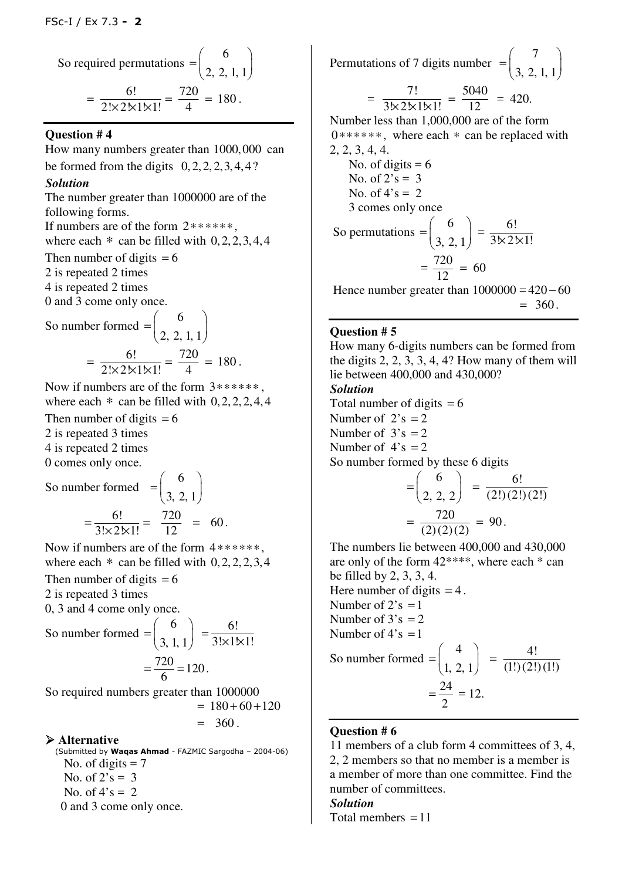So required permutations = 
$$
\binom{6}{2, 2, 1, 1}
$$
  
=  $\frac{6!}{2! \times 2! \times 1! \times 1!} = \frac{720}{4} = 180$ .

#### **Question # 4**

How many numbers greater than 1000,000 can be formed from the digits  $0, 2, 2, 2, 3, 4, 4$ ?

## *Solution*

The number greater than 1000000 are of the following forms. If numbers are of the form 2∗∗∗∗∗∗, where each  $*$  can be filled with  $0, 2, 2, 3, 4, 4$ Then number of digits  $= 6$ 

2 is repeated 2 times

4 is repeated 2 times

0 and 3 come only once.

So number formed 
$$
=\begin{pmatrix} 6 \\ 2, 2, 1, 1 \end{pmatrix}
$$
  
 $=\frac{6!}{2! \times 2! \times 1! \times 1!} = \frac{720}{4} = 180.$ 

Now if numbers are of the form 3∗∗∗∗∗∗ , where each  $*$  can be filled with  $0, 2, 2, 2, 4, 4$ 

Then number of digits  $= 6$ 2 is repeated 3 times 4 is repeated 2 times 0 comes only once.

So number formed 6 3, 2, 1  $=\begin{pmatrix} 6 \\ 3, 2, 1 \end{pmatrix}$  $=\frac{6!}{3! \times 2! \times 1!} = \frac{720}{12} = 60.$ 

Now if numbers are of the form 4∗∗∗∗∗∗, where each  $*$  can be filled with  $0, 2, 2, 2, 3, 4$ Then number of digits  $= 6$ 

2 is repeated 3 times

0, 3 and 4 come only once.

So number formed 
$$
=\begin{pmatrix} 6 \\ 3, 1, 1 \end{pmatrix} = \frac{6!}{3! \times 1! \times 1!}
$$
  
 $=\frac{720}{6} = 120.$ 

So required numbers greater than 1000000  $-180 + 60 + 120$ 

$$
= 180 + 60 +
$$

$$
= 360.
$$

# **Alternative**

(Submitted by **Waqas Ahmad** - FAZMIC Sargodha – 2004-06) No. of digits  $= 7$ No. of  $2's = 3$ No. of  $4's = 2$ 0 and 3 come only once.

Permutations of 7 digits number 7 3, 2, 1, 1  $=\left(\begin{matrix}7\\3,2,1,1\end{matrix}\right)$ = 7!  $3x2x1x1!$  $=\frac{5040}{12} = 420.$ Number less than 1,000,000 are of the form 0∗∗∗∗∗∗, where each ∗ can be replaced with 2, 2, 3, 4, 4. No. of digits  $= 6$ No. of  $2's = 3$ No. of  $4's = 2$  3 comes only once So permutations 6  $=\left(\frac{6}{3, 2, 1}\right)=\frac{6!}{3\cancel{1}\cancel{2!}}$  $\overline{\frac{3\times 2\times 1!}{2}}$ 

$$
(3, 2, 1) \quad 3 \times 2
$$

$$
= \frac{720}{12} = 60
$$

Hence number greater than  $1000000 = 420 - 60$  $= 360.$ 

# **Question # 5**

How many 6-digits numbers can be formed from the digits 2, 2, 3, 3, 4, 4? How many of them will lie between 400,000 and 430,000?

#### *Solution*

Total number of digits  $= 6$ Number of  $2's = 2$ Number of  $3's = 2$ Number of  $4's = 2$ So number formed by these 6 digits

$$
= \begin{pmatrix} 6 \\ 2, 2, 2 \end{pmatrix} = \frac{6!}{(2!)(2!)(2!)} = \frac{720}{(2)(2)(2)} = 90.
$$

The numbers lie between 400,000 and 430,000 are only of the form 42\*\*\*\*, where each \* can be filled by 2, 3, 3, 4.

Here number of digits  $= 4$ .

Number of 2's = 1  
Number of 3's = 2  
Number of 4's = 1  
So number formed = 
$$
\binom{4}{1, 2, 1} = \frac{4!}{(1!)(2!)(1!)} = \frac{24}{2} = 12.
$$

## **Question # 6**

11 members of a club form 4 committees of 3, 4, 2, 2 members so that no member is a member is a member of more than one committee. Find the number of committees.

# *Solution*

Total members  $=11$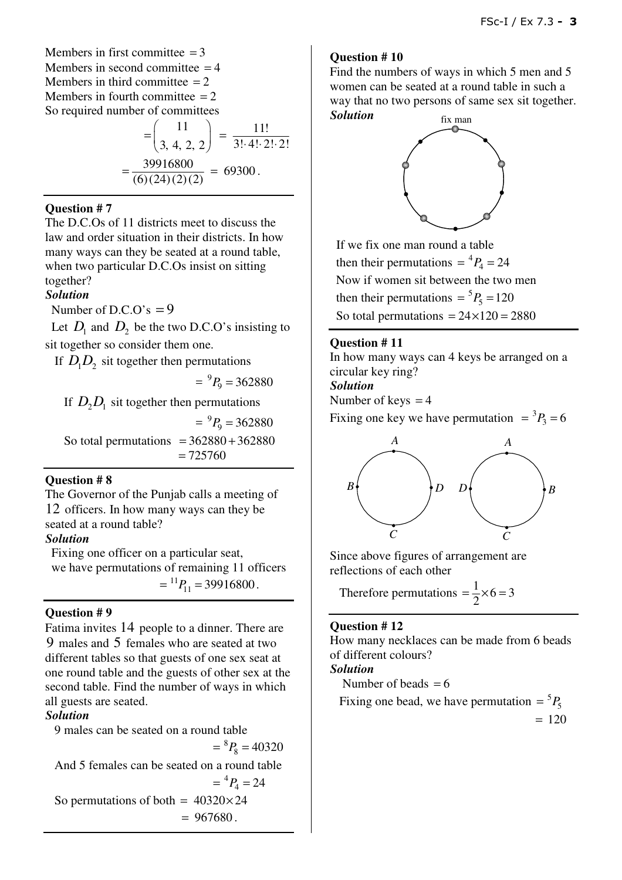Members in first committee  $= 3$ Members in second committee  $=4$ Members in third committee  $= 2$ Members in fourth committee  $= 2$ So required number of committees

$$
= \left(\frac{11}{3, 4, 2, 2}\right) = \frac{11!}{3! \cdot 4! \cdot 2! \cdot 2!}
$$

$$
= \frac{39916800}{(6)(24)(2)(2)} = 69300.
$$

#### **Question # 7**

The D.C.Os of 11 districts meet to discuss the law and order situation in their districts. In how many ways can they be seated at a round table, when two particular D.C.Os insist on sitting together?

## *Solution*

Number of D.C.O's  $= 9$ 

Let  $D_1$  and  $D_2$  be the two D.C.O's insisting to sit together so consider them one.

If  $D_1D_2$  sit together then permutations

 $= {}^{9}P_9 = 362880$ 

If  $D_2D_1$  sit together then permutations

 $= {}^{9}P_9 = 362880$ So total permutations  $= 362880 + 362880$  $= 725760$ 

# **Question # 8**

The Governor of the Punjab calls a meeting of 12 officers. In how many ways can they be seated at a round table?

# *Solution*

 Fixing one officer on a particular seat, we have permutations of remaining 11 officers  $=$ <sup>11</sup> $P_{11}$  = 39916800.

# **Question # 9**

Fatima invites 14 people to a dinner. There are 9 males and 5 females who are seated at two different tables so that guests of one sex seat at one round table and the guests of other sex at the second table. Find the number of ways in which all guests are seated.

# *Solution*

 9 males can be seated on a round table  $=$ <sup>8</sup> $P_8$  = 40320 And 5 females can be seated on a round table  $= {}^4P_4 = 24$ So permutations of both =  $40320 \times 24$  $= 967680.$ 

## **Question # 10**

Find the numbers of ways in which 5 men and 5 women can be seated at a round table in such a way that no two persons of same sex sit together. *Solution* 



 If we fix one man round a table then their permutations  $= {}^4P_4 = 24$  Now if women sit between the two men then their permutations  $= {}^5P_5 = 120$ So total permutations  $= 24 \times 120 = 2880$ 

## **Question # 11**

In how many ways can 4 keys be arranged on a circular key ring?

# *Solution*

Number of keys  $= 4$ 

Fixing one key we have permutation  $= {}^3P_3 = 6$ 



Since above figures of arrangement are reflections of each other

Therefore permutations  $= \frac{1}{2} \times 6 = 3$ 

#### **Question # 12**

How many necklaces can be made from 6 beads of different colours? *Solution*  Number of beads  $= 6$ 

Fixing one bead, we have permutation  $= {}^5P_5$  $= 120$